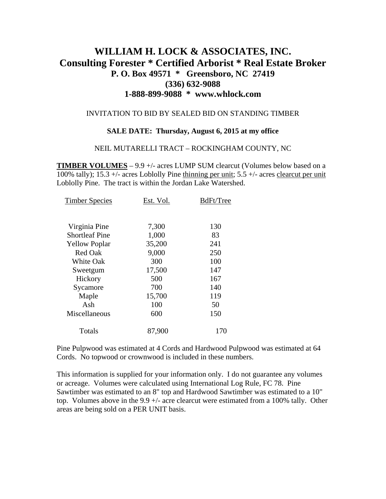# **WILLIAM H. LOCK & ASSOCIATES, INC. Consulting Forester \* Certified Arborist \* Real Estate Broker P. O. Box 49571 \* Greensboro, NC 27419 (336) 632-9088 1-888-899-9088 \* www.whlock.com**

#### INVITATION TO BID BY SEALED BID ON STANDING TIMBER

#### **SALE DATE: Thursday, August 6, 2015 at my office**

#### NEIL MUTARELLI TRACT – ROCKINGHAM COUNTY, NC

**TIMBER VOLUMES** – 9.9 +/- acres LUMP SUM clearcut (Volumes below based on a 100% tally); 15.3 +/- acres Loblolly Pine thinning per unit; 5.5 +/- acres clearcut per unit Loblolly Pine. The tract is within the Jordan Lake Watershed.

| <b>Timber Species</b> | Est. Vol. | BdFt/Tree |
|-----------------------|-----------|-----------|
|                       |           |           |
| Virginia Pine         | 7,300     | 130       |
| <b>Shortleaf Pine</b> | 1,000     | 83        |
| <b>Yellow Poplar</b>  | 35,200    | 241       |
| Red Oak               | 9,000     | 250       |
| <b>White Oak</b>      | 300       | 100       |
| Sweetgum              | 17,500    | 147       |
| Hickory               | 500       | 167       |
| Sycamore              | 700       | 140       |
| Maple                 | 15,700    | 119       |
| Ash                   | 100       | 50        |
| Miscellaneous         | 600       | 150       |
| Totals                | 87,900    | 170       |
|                       |           |           |

Pine Pulpwood was estimated at 4 Cords and Hardwood Pulpwood was estimated at 64 Cords. No topwood or crownwood is included in these numbers.

This information is supplied for your information only. I do not guarantee any volumes or acreage. Volumes were calculated using International Log Rule, FC 78. Pine Sawtimber was estimated to an 8" top and Hardwood Sawtimber was estimated to a 10" top. Volumes above in the 9.9 +/- acre clearcut were estimated from a 100% tally. Other areas are being sold on a PER UNIT basis.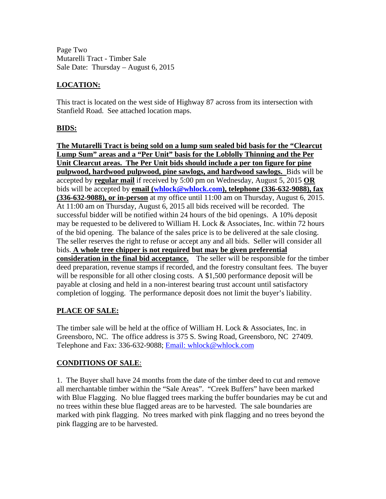Page Two Mutarelli Tract - Timber Sale Sale Date: Thursday – August 6, 2015

## **LOCATION:**

This tract is located on the west side of Highway 87 across from its intersection with Stanfield Road. See attached location maps.

### **BIDS:**

**The Mutarelli Tract is being sold on a lump sum sealed bid basis for the "Clearcut Lump Sum" areas and a "Per Unit" basis for the Loblolly Thinning and the Per Unit Clearcut areas. The Per Unit bids should include a per ton figure for pine pulpwood, hardwood pulpwood, pine sawlogs, and hardwood sawlogs.** Bids will be accepted by **regular mail** if received by 5:00 pm on Wednesday, August 5, 2015 **OR** bids will be accepted by **email ([whlock@whlock.com\)](mailto:whlock@whlock.com), telephone (336-632-9088), fax (336-632-9088), or in-person** at my office until 11:00 am on Thursday, August 6, 2015. At 11:00 am on Thursday, August 6, 2015 all bids received will be recorded. The successful bidder will be notified within 24 hours of the bid openings. A 10% deposit may be requested to be delivered to William H. Lock & Associates, Inc. within 72 hours of the bid opening. The balance of the sales price is to be delivered at the sale closing. The seller reserves the right to refuse or accept any and all bids. Seller will consider all bids. **A whole tree chipper is not required but may be given preferential consideration in the final bid acceptance.** The seller will be responsible for the timber deed preparation, revenue stamps if recorded, and the forestry consultant fees. The buyer will be responsible for all other closing costs. A \$1,500 performance deposit will be payable at closing and held in a non-interest bearing trust account until satisfactory completion of logging. The performance deposit does not limit the buyer's liability.

### **PLACE OF SALE:**

The timber sale will be held at the office of William H. Lock & Associates, Inc. in Greensboro, NC. The office address is 375 S. Swing Road, Greensboro, NC 27409. Telephone and Fax: 336-632-9088; [Email: whlock@whlock.com](mailto:Email:%20whlock@whlock.com) 

### **CONDITIONS OF SALE**:

1. The Buyer shall have 24 months from the date of the timber deed to cut and remove all merchantable timber within the "Sale Areas". "Creek Buffers" have been marked with Blue Flagging. No blue flagged trees marking the buffer boundaries may be cut and no trees within these blue flagged areas are to be harvested. The sale boundaries are marked with pink flagging. No trees marked with pink flagging and no trees beyond the pink flagging are to be harvested.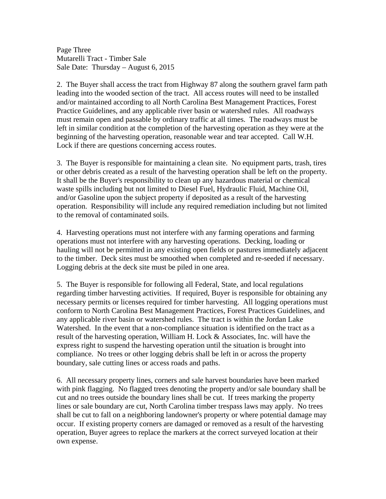Page Three Mutarelli Tract - Timber Sale Sale Date: Thursday – August 6, 2015

2. The Buyer shall access the tract from Highway 87 along the southern gravel farm path leading into the wooded section of the tract. All access routes will need to be installed and/or maintained according to all North Carolina Best Management Practices, Forest Practice Guidelines, and any applicable river basin or watershed rules. All roadways must remain open and passable by ordinary traffic at all times. The roadways must be left in similar condition at the completion of the harvesting operation as they were at the beginning of the harvesting operation, reasonable wear and tear accepted. Call W.H. Lock if there are questions concerning access routes.

3. The Buyer is responsible for maintaining a clean site. No equipment parts, trash, tires or other debris created as a result of the harvesting operation shall be left on the property. It shall be the Buyer's responsibility to clean up any hazardous material or chemical waste spills including but not limited to Diesel Fuel, Hydraulic Fluid, Machine Oil, and/or Gasoline upon the subject property if deposited as a result of the harvesting operation. Responsibility will include any required remediation including but not limited to the removal of contaminated soils.

4. Harvesting operations must not interfere with any farming operations and farming operations must not interfere with any harvesting operations. Decking, loading or hauling will not be permitted in any existing open fields or pastures immediately adjacent to the timber. Deck sites must be smoothed when completed and re-seeded if necessary. Logging debris at the deck site must be piled in one area.

5. The Buyer is responsible for following all Federal, State, and local regulations regarding timber harvesting activities. If required, Buyer is responsible for obtaining any necessary permits or licenses required for timber harvesting. All logging operations must conform to North Carolina Best Management Practices, Forest Practices Guidelines, and any applicable river basin or watershed rules. The tract is within the Jordan Lake Watershed. In the event that a non-compliance situation is identified on the tract as a result of the harvesting operation, William H. Lock & Associates, Inc. will have the express right to suspend the harvesting operation until the situation is brought into compliance. No trees or other logging debris shall be left in or across the property boundary, sale cutting lines or access roads and paths.

6. All necessary property lines, corners and sale harvest boundaries have been marked with pink flagging. No flagged trees denoting the property and/or sale boundary shall be cut and no trees outside the boundary lines shall be cut. If trees marking the property lines or sale boundary are cut, North Carolina timber trespass laws may apply. No trees shall be cut to fall on a neighboring landowner's property or where potential damage may occur. If existing property corners are damaged or removed as a result of the harvesting operation, Buyer agrees to replace the markers at the correct surveyed location at their own expense.